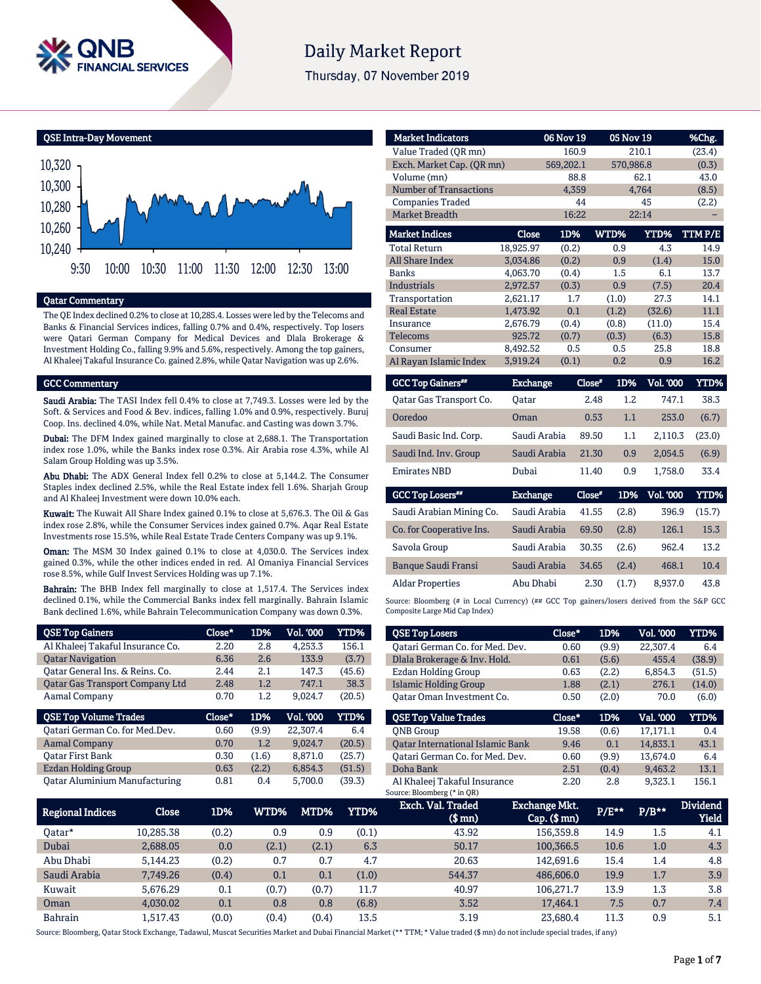

# **Daily Market Report**

Thursday, 07 November 2019

QSE Intra-Day Movement



### Qatar Commentary

The QE Index declined 0.2% to close at 10,285.4. Losses were led by the Telecoms and Banks & Financial Services indices, falling 0.7% and 0.4%, respectively. Top losers were Qatari German Company for Medical Devices and Dlala Brokerage & Investment Holding Co., falling 9.9% and 5.6%, respectively. Among the top gainers, Al Khaleej Takaful Insurance Co. gained 2.8%, while Qatar Navigation was up 2.6%.

### GCC Commentary

Saudi Arabia: The TASI Index fell 0.4% to close at 7,749.3. Losses were led by the Soft. & Services and Food & Bev. indices, falling 1.0% and 0.9%, respectively. Buruj Coop. Ins. declined 4.0%, while Nat. Metal Manufac. and Casting was down 3.7%.

Dubai: The DFM Index gained marginally to close at 2,688.1. The Transportation index rose 1.0%, while the Banks index rose 0.3%. Air Arabia rose 4.3%, while Al Salam Group Holding was up 3.5%.

Abu Dhabi: The ADX General Index fell 0.2% to close at 5,144.2. The Consumer Staples index declined 2.5%, while the Real Estate index fell 1.6%. Sharjah Group and Al Khaleej Investment were down 10.0% each.

Kuwait: The Kuwait All Share Index gained 0.1% to close at 5,676.3. The Oil & Gas index rose 2.8%, while the Consumer Services index gained 0.7%. Aqar Real Estate Investments rose 15.5%, while Real Estate Trade Centers Company was up 9.1%.

Oman: The MSM 30 Index gained 0.1% to close at 4,030.0. The Services index gained 0.3%, while the other indices ended in red. Al Omaniya Financial Services rose 8.5%, while Gulf Invest Services Holding was up 7.1%.

Bahrain: The BHB Index fell marginally to close at 1,517.4. The Services index declined 0.1%, while the Commercial Banks index fell marginally. Bahrain Islamic Bank declined 1.6%, while Bahrain Telecommunication Company was down 0.3%.

| <b>QSE Top Gainers</b>                 | Close* | 1D%   | <b>Vol. '000</b> | <b>YTD%</b> |
|----------------------------------------|--------|-------|------------------|-------------|
| Al Khaleej Takaful Insurance Co.       | 2.20   | 2.8   | 4,253.3          | 156.1       |
| <b>Qatar Navigation</b>                | 6.36   | 2.6   | 133.9            | (3.7)       |
| Qatar General Ins. & Reins. Co.        | 2.44   | 2.1   | 147.3            | (45.6)      |
| <b>Qatar Gas Transport Company Ltd</b> | 2.48   | 1.2   | 747.1            | 38.3        |
| <b>Aamal Company</b>                   | 0.70   | 1.2   | 9,024.7          | (20.5)      |
|                                        |        |       |                  |             |
| <b>QSE Top Volume Trades</b>           | Close* | 1D%   | <b>Vol. '000</b> | <b>YTD%</b> |
| Oatari German Co. for Med.Dev.         | 0.60   | (9.9) | 22,307.4         | 6.4         |
| <b>Aamal Company</b>                   | 0.70   | 1.2   | 9,024.7          | (20.5)      |
| <b>Qatar First Bank</b>                | 0.30   | (1.6) | 8.871.0          | (25.7)      |
| <b>Ezdan Holding Group</b>             | 0.63   | (2.2) | 6,854.3          | (51.5)      |

| <b>Market Indicators</b>      |           | <b>06 Nov 19</b> | <b>05 Nov 19</b>   |                 | %Chg.                  |
|-------------------------------|-----------|------------------|--------------------|-----------------|------------------------|
| Value Traded (QR mn)          |           | 160.9            |                    | 210.1           | (23.4)                 |
| Exch. Market Cap. (QR mn)     |           | 569,202.1        | 570,986.8          |                 | (0.3)                  |
| Volume (mn)                   |           | 88.8             |                    | 62.1            | 43.0                   |
| <b>Number of Transactions</b> |           | 4,359            |                    | 4,764           | (8.5)                  |
| <b>Companies Traded</b>       |           | 44               |                    | 45              | (2.2)                  |
| <b>Market Breadth</b>         |           | 16:22            |                    | 22:14           |                        |
| <b>Market Indices</b>         | Close     | 1D%              | WTD%               | YTD%            | TTMP/E                 |
| <b>Total Return</b>           | 18,925.97 | (0.2)            | 0.9                | 4.3             | 14.9                   |
| <b>All Share Index</b>        | 3.034.86  | (0.2)            | 0.9                | (1.4)           | 15.0                   |
| <b>Banks</b>                  | 4,063.70  | (0.4)            | 1.5                | 6.1             | 13.7                   |
| <b>Industrials</b>            | 2,972.57  | (0.3)            | 0.9                | (7.5)           | 20.4                   |
| Transportation                | 2,621.17  | 1.7              | (1.0)              | 27.3            | 14.1                   |
| <b>Real Estate</b>            | 1,473.92  | 0.1              | (1.2)              | (32.6)          | 11.1                   |
| Insurance                     | 2,676.79  | (0.4)            | (0.8)              | (11.0)          | 15.4                   |
| <b>Telecoms</b>               | 925.72    | (0.7)            | (0.3)              | (6.3)           | 15.8                   |
| Consumer                      | 8,492.52  | 0.5              | 0.5                | 25.8            | 18.8                   |
| Al Rayan Islamic Index        | 3,919.24  | (0.1)            | 0.2                | 0.9             | 16.2                   |
|                               | . .       |                  | ~ *<br><b>STAT</b> | $T$ $T$ $T$ $R$ | <b><i>EXEMPLAY</i></b> |

| <b>GCC Top Gainers</b> " | <b>Exchange</b> | Close" | 1D% | <b>Vol. '000</b> | YTD%   |
|--------------------------|-----------------|--------|-----|------------------|--------|
| Oatar Gas Transport Co.  | Oatar           | 2.48   | 1.2 | 747.1            | 38.3   |
| Ooredoo                  | Oman            | 0.53   | 1.1 | 253.0            | (6.7)  |
| Saudi Basic Ind. Corp.   | Saudi Arabia    | 89.50  | 1.1 | 2.110.3          | (23.0) |
| Saudi Ind. Inv. Group    | Saudi Arabia    | 21.30  | 0.9 | 2.054.5          | (6.9)  |
| <b>Emirates NBD</b>      | Dubai           | 11.40  | 0.9 | 1.758.0          | 33.4   |
|                          |                 |        |     |                  |        |

| <b>GCC Top Losers**</b>    | <b>Exchange</b> | Close* | 1D%   | <b>Vol. '000</b> | YTD%   |
|----------------------------|-----------------|--------|-------|------------------|--------|
| Saudi Arabian Mining Co.   | Saudi Arabia    | 41.55  | (2.8) | 396.9            | (15.7) |
| Co. for Cooperative Ins.   | Saudi Arabia    | 69.50  | (2.8) | 126.1            | 15.3   |
| Savola Group               | Saudi Arabia    | 30.35  | (2.6) | 962.4            | 13.2   |
| <b>Banque Saudi Fransi</b> | Saudi Arabia    | 34.65  | (2.4) | 468.1            | 10.4   |
| <b>Aldar Properties</b>    | Abu Dhabi       | 2.30   | (1.7) | 8.937.0          | 43.8   |

Source: Bloomberg (# in Local Currency) (## GCC Top gainers/losers derived from the S&P GCC Composite Large Mid Cap Index)

| <b>QSE Top Losers</b>                   | $Close*$ | 1D%   | <b>Vol. '000</b> | YTD%   |
|-----------------------------------------|----------|-------|------------------|--------|
| Oatari German Co. for Med. Dev.         | 0.60     | (9.9) | 22,307.4         | 6.4    |
| Dlala Brokerage & Inv. Hold.            | 0.61     | (5.6) | 455.4            | (38.9) |
| Ezdan Holding Group                     | 0.63     | (2.2) | 6,854.3          | (51.5) |
| Islamic Holding Group                   | 1.88     | (2.1) | 276.1            | (14.0) |
| Oatar Oman Investment Co.               | 0.50     | (2.0) | 70.0             | (6.0)  |
|                                         |          |       |                  |        |
| <b>OSE Top Value Trades</b>             | Close*   | 1D%   | Val. '000        | YTD%   |
| <b>ONB</b> Group                        | 19.58    | (0.6) | 17,171.1         | 0.4    |
| <b>Oatar International Islamic Bank</b> | 9.46     | 0.1   | 14.833.1         | 43.1   |
| Oatari German Co. for Med. Dev.         | 0.60     | (9.9) | 13.674.0         | 6.4    |
| Doha Bank                               | 2.51     | (0.4) | 9.463.2          | 13.1   |

| Regional Indices | Close     | 1D%   | WTD%  | MTD%  | YTD%  | Exch. Val. Traded<br>$$$ mn $)$ | Exchange Mkt.<br>$Cap.$ ( $$rm)$ ) | P/E** | $P/B***$ | <b>Dividend</b><br><b>Yield</b> |
|------------------|-----------|-------|-------|-------|-------|---------------------------------|------------------------------------|-------|----------|---------------------------------|
| Oatar*           | 10.285.38 | (0.2) | 0.9   | 0.9   | (0.1) | 43.92                           | 156,359.8                          | 14.9  | 1.5      | 4.1                             |
| Dubai            | 2,688.05  | 0.0   | (2.1) | (2.1) | 6.3   | 50.17                           | 100,366.5                          | 10.6  | 1.0      | 4.3                             |
| Abu Dhabi        | 5.144.23  | (0.2) | 0.7   | 0.7   | 4.7   | 20.63                           | 142.691.6                          | 15.4  | 1.4      | 4.8                             |
| Saudi Arabia     | 7.749.26  | (0.4) | 0.1   | 0.1   | (1.0) | 544.37                          | 486,606.0                          | 19.9  | 1.7      | 3.9                             |
| Kuwait           | 5.676.29  | 0.1   | (0.7) | (0.7) | 11.7  | 40.97                           | 106.271.7                          | 13.9  | 1.3      | 3.8                             |
| Oman             | 4.030.02  | 0.1   | 0.8   | 0.8   | (6.8) | 3.52                            | 17.464.1                           | 7.5   | 0.7      | 7.4                             |
| <b>Bahrain</b>   | .517.43   | (0.0) | (0.4) | (0.4) | 13.5  | 3.19                            | 23.680.4                           | 11.3  | 0.9      | 5.1                             |

Source: Bloomberg, Qatar Stock Exchange, Tadawul, Muscat Securities Market and Dubai Financial Market (\*\* TTM; \* Value traded (\$ mn) do not include special trades, if any)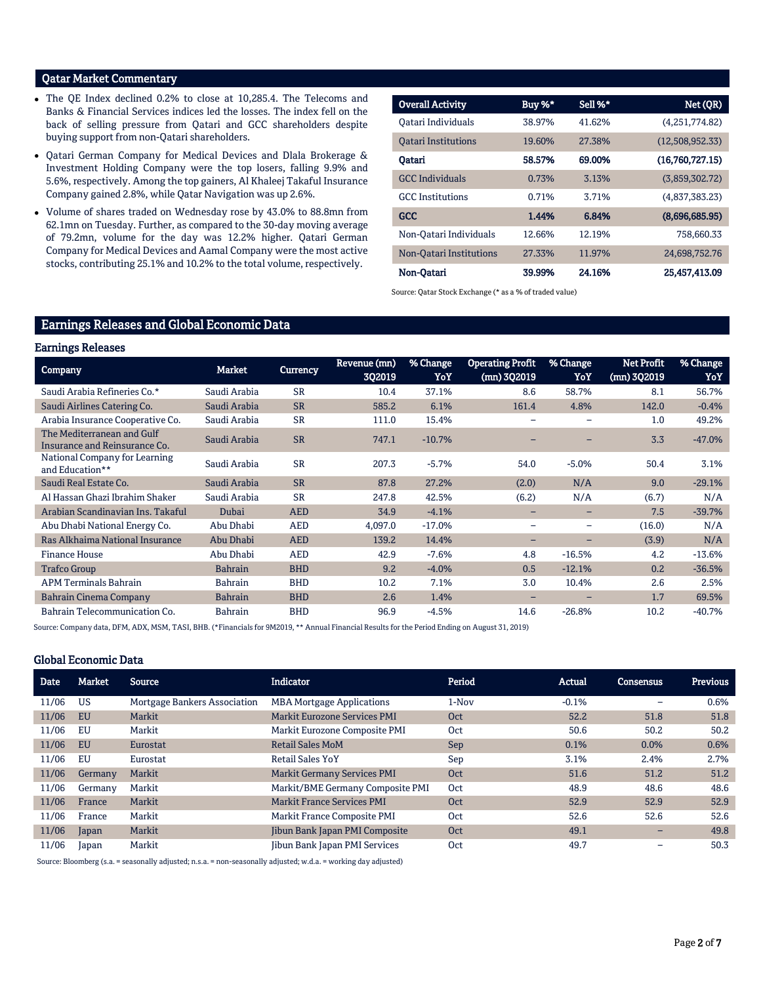# Qatar Market Commentary

- The QE Index declined 0.2% to close at 10,285.4. The Telecoms and Banks & Financial Services indices led the losses. The index fell on the back of selling pressure from Qatari and GCC shareholders despite buying support from non-Qatari shareholders.
- Qatari German Company for Medical Devices and Dlala Brokerage & Investment Holding Company were the top losers, falling 9.9% and 5.6%, respectively. Among the top gainers, Al Khaleej Takaful Insurance Company gained 2.8%, while Qatar Navigation was up 2.6%.
- Volume of shares traded on Wednesday rose by 43.0% to 88.8mn from 62.1mn on Tuesday. Further, as compared to the 30-day moving average of 79.2mn, volume for the day was 12.2% higher. Qatari German Company for Medical Devices and Aamal Company were the most active stocks, contributing 25.1% and 10.2% to the total volume, respectively.

| <b>Overall Activity</b>    | Buy %* | Sell %* | Net(QR)         |
|----------------------------|--------|---------|-----------------|
| Oatari Individuals         | 38.97% | 41.62%  | (4,251,774.82)  |
| <b>Oatari Institutions</b> | 19.60% | 27.38%  | (12,508,952.33) |
| Oatari                     | 58.57% | 69.00%  | (16,760,727,15) |
| <b>GCC Individuals</b>     | 0.73%  | 3.13%   | (3,859,302.72)  |
| <b>GCC</b> Institutions    | 0.71%  | 3.71%   | (4,837,383,23)  |
| <b>GCC</b>                 | 1.44%  | 6.84%   | (8,696,685.95)  |
| Non-Oatari Individuals     | 12.66% | 12.19%  | 758.660.33      |
| Non-Oatari Institutions    | 27.33% | 11.97%  | 24,698,752.76   |
| Non-Oatari                 | 39.99% | 24.16%  | 25,457,413.09   |

Source: Qatar Stock Exchange (\* as a % of traded value)

# Earnings Releases and Global Economic Data

### Earnings Releases

| --0-                                                        |                |                 |                        |                 |                                          |                          |                                    |                 |
|-------------------------------------------------------------|----------------|-----------------|------------------------|-----------------|------------------------------------------|--------------------------|------------------------------------|-----------------|
| <b>Company</b>                                              | Market         | <b>Currency</b> | Revenue (mn)<br>3Q2019 | % Change<br>YoY | <b>Operating Profit</b><br>$(mn)$ 3Q2019 | % Change<br>YoY          | <b>Net Profit</b><br>$(mn)$ 3Q2019 | % Change<br>YoY |
| Saudi Arabia Refineries Co.*                                | Saudi Arabia   | <b>SR</b>       | 10.4                   | 37.1%           | 8.6                                      | 58.7%                    | 8.1                                | 56.7%           |
| Saudi Airlines Catering Co.                                 | Saudi Arabia   | <b>SR</b>       | 585.2                  | 6.1%            | 161.4                                    | 4.8%                     | 142.0                              | $-0.4%$         |
| Arabia Insurance Cooperative Co.                            | Saudi Arabia   | <b>SR</b>       | 111.0                  | 15.4%           | $\qquad \qquad$                          | ۰                        | 1.0                                | 49.2%           |
| The Mediterranean and Gulf<br>Insurance and Reinsurance Co. | Saudi Arabia   | <b>SR</b>       | 747.1                  | $-10.7%$        |                                          |                          | 3.3                                | $-47.0%$        |
| National Company for Learning<br>and Education**            | Saudi Arabia   | <b>SR</b>       | 207.3                  | $-5.7%$         | 54.0                                     | $-5.0%$                  | 50.4                               | 3.1%            |
| Saudi Real Estate Co.                                       | Saudi Arabia   | <b>SR</b>       | 87.8                   | 27.2%           | (2.0)                                    | N/A                      | 9.0                                | $-29.1%$        |
| Al Hassan Ghazi Ibrahim Shaker                              | Saudi Arabia   | <b>SR</b>       | 247.8                  | 42.5%           | (6.2)                                    | N/A                      | (6.7)                              | N/A             |
| Arabian Scandinavian Ins. Takaful                           | Dubai          | <b>AED</b>      | 34.9                   | $-4.1%$         | -                                        | -                        | 7.5                                | $-39.7%$        |
| Abu Dhabi National Energy Co.                               | Abu Dhabi      | <b>AED</b>      | 4,097.0                | $-17.0%$        | $\overline{\phantom{0}}$                 | $\overline{\phantom{0}}$ | (16.0)                             | N/A             |
| Ras Alkhaima National Insurance                             | Abu Dhabi      | <b>AED</b>      | 139.2                  | 14.4%           | -                                        | -                        | (3.9)                              | N/A             |
| <b>Finance House</b>                                        | Abu Dhabi      | <b>AED</b>      | 42.9                   | $-7.6%$         | 4.8                                      | $-16.5%$                 | 4.2                                | $-13.6%$        |
| <b>Trafco Group</b>                                         | <b>Bahrain</b> | <b>BHD</b>      | 9.2                    | $-4.0%$         | 0.5                                      | $-12.1%$                 | 0.2                                | $-36.5%$        |
| <b>APM Terminals Bahrain</b>                                | Bahrain        | <b>BHD</b>      | 10.2                   | 7.1%            | 3.0                                      | 10.4%                    | 2.6                                | 2.5%            |
| Bahrain Cinema Company                                      | <b>Bahrain</b> | <b>BHD</b>      | 2.6                    | 1.4%            | -                                        | -                        | 1.7                                | 69.5%           |
| Bahrain Telecommunication Co.                               | <b>Bahrain</b> | <b>BHD</b>      | 96.9                   | $-4.5%$         | 14.6                                     | $-26.8%$                 | 10.2                               | $-40.7%$        |

Source: Company data, DFM, ADX, MSM, TASI, BHB. (\*Financials for 9M2019, \*\* Annual Financial Results for the Period Ending on August 31, 2019)

### Global Economic Data

| <b>Date</b> | Market    | Source                       | <b>Indicator</b>                    | Period | Actual  | <b>Consensus</b> | Previous |
|-------------|-----------|------------------------------|-------------------------------------|--------|---------|------------------|----------|
| 11/06       | US        | Mortgage Bankers Association | <b>MBA Mortgage Applications</b>    | 1-Nov  | $-0.1%$ |                  | 0.6%     |
| 11/06       | <b>EU</b> | Markit                       | <b>Markit Eurozone Services PMI</b> | Oct    | 52.2    | 51.8             | 51.8     |
| 11/06       | EU        | Markit                       | Markit Eurozone Composite PMI       | Oct    | 50.6    | 50.2             | 50.2     |
| 11/06       | EU        | Eurostat                     | <b>Retail Sales MoM</b>             | Sep    | 0.1%    | 0.0%             | 0.6%     |
| 11/06       | EU        | Eurostat                     | <b>Retail Sales YoY</b>             | Sep    | 3.1%    | 2.4%             | 2.7%     |
| 11/06       | Germany   | Markit                       | <b>Markit Germany Services PMI</b>  | Oct    | 51.6    | 51.2             | 51.2     |
| 11/06       | Germany   | Markit                       | Markit/BME Germany Composite PMI    | Oct    | 48.9    | 48.6             | 48.6     |
| 11/06       | France    | Markit                       | <b>Markit France Services PMI</b>   | Oct    | 52.9    | 52.9             | 52.9     |
| 11/06       | France    | Markit                       | Markit France Composite PMI         | Oct    | 52.6    | 52.6             | 52.6     |
| 11/06       | Japan     | Markit                       | Jibun Bank Japan PMI Composite      | Oct    | 49.1    | -                | 49.8     |
| 11/06       | Japan     | Markit                       | Jibun Bank Japan PMI Services       | Oct    | 49.7    |                  | 50.3     |

Source: Bloomberg (s.a. = seasonally adjusted; n.s.a. = non-seasonally adjusted; w.d.a. = working day adjusted)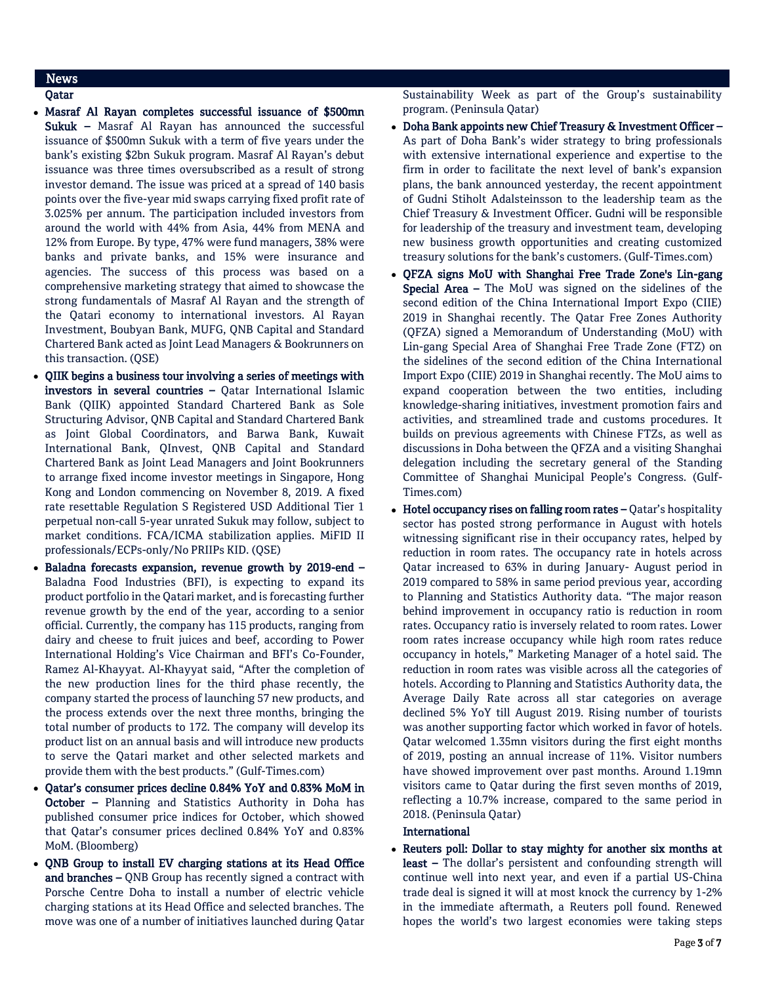# News

# Qatar

- Masraf Al Rayan completes successful issuance of \$500mn Sukuk - Masraf Al Rayan has announced the successful issuance of \$500mn Sukuk with a term of five years under the bank's existing \$2bn Sukuk program. Masraf Al Rayan's debut issuance was three times oversubscribed as a result of strong investor demand. The issue was priced at a spread of 140 basis points over the five-year mid swaps carrying fixed profit rate of 3.025% per annum. The participation included investors from around the world with 44% from Asia, 44% from MENA and 12% from Europe. By type, 47% were fund managers, 38% were banks and private banks, and 15% were insurance and agencies. The success of this process was based on a comprehensive marketing strategy that aimed to showcase the strong fundamentals of Masraf Al Rayan and the strength of the Qatari economy to international investors. Al Rayan Investment, Boubyan Bank, MUFG, QNB Capital and Standard Chartered Bank acted as Joint Lead Managers & Bookrunners on this transaction. (QSE)
- QIIK begins a business tour involving a series of meetings with investors in several countries – Qatar International Islamic Bank (QIIK) appointed Standard Chartered Bank as Sole Structuring Advisor, QNB Capital and Standard Chartered Bank as Joint Global Coordinators, and Barwa Bank, Kuwait International Bank, QInvest, QNB Capital and Standard Chartered Bank as Joint Lead Managers and Joint Bookrunners to arrange fixed income investor meetings in Singapore, Hong Kong and London commencing on November 8, 2019. A fixed rate resettable Regulation S Registered USD Additional Tier 1 perpetual non-call 5-year unrated Sukuk may follow, subject to market conditions. FCA/ICMA stabilization applies. MiFID II professionals/ECPs-only/No PRIIPs KID. (QSE)
- Baladna forecasts expansion, revenue growth by 2019-end Baladna Food Industries (BFI), is expecting to expand its product portfolio in the Qatari market, and is forecasting further revenue growth by the end of the year, according to a senior official. Currently, the company has 115 products, ranging from dairy and cheese to fruit juices and beef, according to Power International Holding's Vice Chairman and BFI's Co-Founder, Ramez Al-Khayyat. Al-Khayyat said, "After the completion of the new production lines for the third phase recently, the company started the process of launching 57 new products, and the process extends over the next three months, bringing the total number of products to 172. The company will develop its product list on an annual basis and will introduce new products to serve the Qatari market and other selected markets and provide them with the best products." (Gulf-Times.com)
- Qatar's consumer prices decline 0.84% YoY and 0.83% MoM in October – Planning and Statistics Authority in Doha has published consumer price indices for October, which showed that Qatar's consumer prices declined 0.84% YoY and 0.83% MoM. (Bloomberg)
- QNB Group to install EV charging stations at its Head Office and branches – QNB Group has recently signed a contract with Porsche Centre Doha to install a number of electric vehicle charging stations at its Head Office and selected branches. The move was one of a number of initiatives launched during Qatar

Sustainability Week as part of the Group's sustainability program. (Peninsula Qatar)

- Doha Bank appoints new Chief Treasury & Investment Officer As part of Doha Bank's wider strategy to bring professionals with extensive international experience and expertise to the firm in order to facilitate the next level of bank's expansion plans, the bank announced yesterday, the recent appointment of Gudni Stiholt Adalsteinsson to the leadership team as the Chief Treasury & Investment Officer. Gudni will be responsible for leadership of the treasury and investment team, developing new business growth opportunities and creating customized treasury solutions for the bank's customers. (Gulf-Times.com)
- QFZA signs MoU with Shanghai Free Trade Zone's Lin-gang Special Area – The MoU was signed on the sidelines of the second edition of the China International Import Expo (CIIE) 2019 in Shanghai recently. The Qatar Free Zones Authority (QFZA) signed a Memorandum of Understanding (MoU) with Lin-gang Special Area of Shanghai Free Trade Zone (FTZ) on the sidelines of the second edition of the China International Import Expo (CIIE) 2019 in Shanghai recently. The MoU aims to expand cooperation between the two entities, including knowledge-sharing initiatives, investment promotion fairs and activities, and streamlined trade and customs procedures. It builds on previous agreements with Chinese FTZs, as well as discussions in Doha between the QFZA and a visiting Shanghai delegation including the secretary general of the Standing Committee of Shanghai Municipal People's Congress. (Gulf-Times.com)
- $\bullet$  Hotel occupancy rises on falling room rates  $-\mathcal{Q}$  atar's hospitality sector has posted strong performance in August with hotels witnessing significant rise in their occupancy rates, helped by reduction in room rates. The occupancy rate in hotels across Qatar increased to 63% in during January- August period in 2019 compared to 58% in same period previous year, according to Planning and Statistics Authority data. "The major reason behind improvement in occupancy ratio is reduction in room rates. Occupancy ratio is inversely related to room rates. Lower room rates increase occupancy while high room rates reduce occupancy in hotels," Marketing Manager of a hotel said. The reduction in room rates was visible across all the categories of hotels. According to Planning and Statistics Authority data, the Average Daily Rate across all star categories on average declined 5% YoY till August 2019. Rising number of tourists was another supporting factor which worked in favor of hotels. Qatar welcomed 1.35mn visitors during the first eight months of 2019, posting an annual increase of 11%. Visitor numbers have showed improvement over past months. Around 1.19mn visitors came to Qatar during the first seven months of 2019, reflecting a 10.7% increase, compared to the same period in 2018. (Peninsula Qatar)

### International

 Reuters poll: Dollar to stay mighty for another six months at least - The dollar's persistent and confounding strength will continue well into next year, and even if a partial US-China trade deal is signed it will at most knock the currency by 1-2% in the immediate aftermath, a Reuters poll found. Renewed hopes the world's two largest economies were taking steps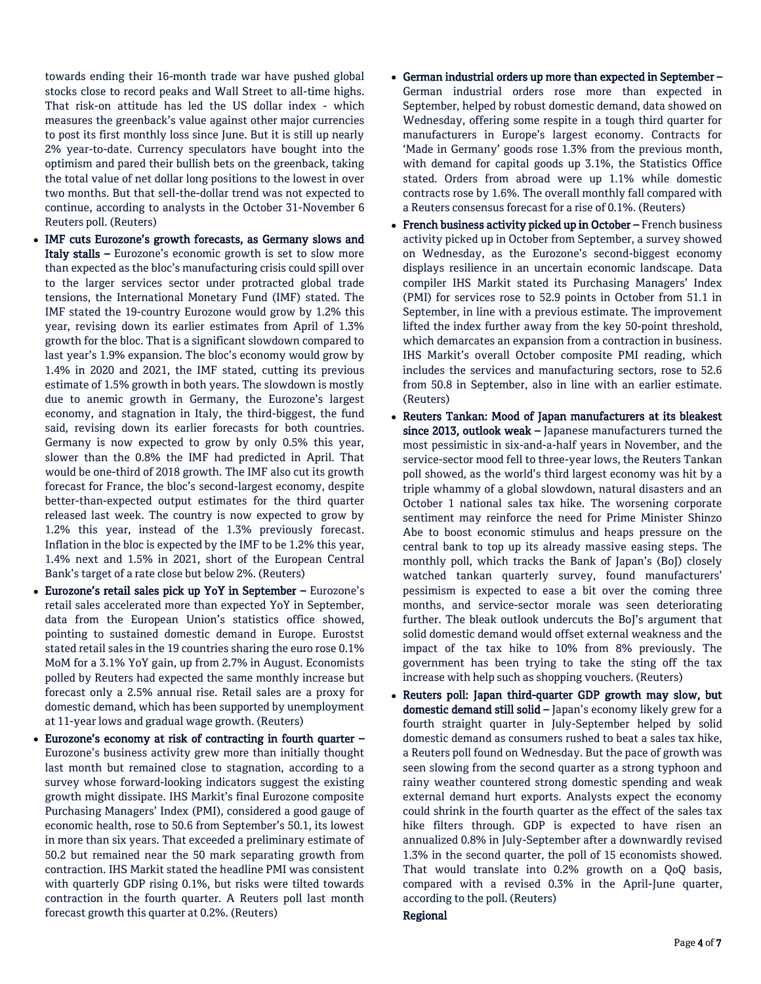towards ending their 16-month trade war have pushed global stocks close to record peaks and Wall Street to all-time highs. That risk-on attitude has led the US dollar index - which measures the greenback's value against other major currencies to post its first monthly loss since June. But it is still up nearly 2% year-to-date. Currency speculators have bought into the optimism and pared their bullish bets on the greenback, taking the total value of net dollar long positions to the lowest in over two months. But that sell-the-dollar trend was not expected to continue, according to analysts in the October 31-November 6 Reuters poll. (Reuters)

- IMF cuts Eurozone's growth forecasts, as Germany slows and Italy stalls – Eurozone's economic growth is set to slow more than expected as the bloc's manufacturing crisis could spill over to the larger services sector under protracted global trade tensions, the International Monetary Fund (IMF) stated. The IMF stated the 19-country Eurozone would grow by 1.2% this year, revising down its earlier estimates from April of 1.3% growth for the bloc. That is a significant slowdown compared to last year's 1.9% expansion. The bloc's economy would grow by 1.4% in 2020 and 2021, the IMF stated, cutting its previous estimate of 1.5% growth in both years. The slowdown is mostly due to anemic growth in Germany, the Eurozone's largest economy, and stagnation in Italy, the third-biggest, the fund said, revising down its earlier forecasts for both countries. Germany is now expected to grow by only 0.5% this year, slower than the 0.8% the IMF had predicted in April. That would be one-third of 2018 growth. The IMF also cut its growth forecast for France, the bloc's second-largest economy, despite better-than-expected output estimates for the third quarter released last week. The country is now expected to grow by 1.2% this year, instead of the 1.3% previously forecast. Inflation in the bloc is expected by the IMF to be 1.2% this year, 1.4% next and 1.5% in 2021, short of the European Central Bank's target of a rate close but below 2%. (Reuters)
- Eurozone's retail sales pick up YoY in September Eurozone's retail sales accelerated more than expected YoY in September, data from the European Union's statistics office showed, pointing to sustained domestic demand in Europe. Eurostst stated retail sales in the 19 countries sharing the euro rose 0.1% MoM for a 3.1% YoY gain, up from 2.7% in August. Economists polled by Reuters had expected the same monthly increase but forecast only a 2.5% annual rise. Retail sales are a proxy for domestic demand, which has been supported by unemployment at 11-year lows and gradual wage growth. (Reuters)
- Eurozone's economy at risk of contracting in fourth quarter Eurozone's business activity grew more than initially thought last month but remained close to stagnation, according to a survey whose forward-looking indicators suggest the existing growth might dissipate. IHS Markit's final Eurozone composite Purchasing Managers' Index (PMI), considered a good gauge of economic health, rose to 50.6 from September's 50.1, its lowest in more than six years. That exceeded a preliminary estimate of 50.2 but remained near the 50 mark separating growth from contraction. IHS Markit stated the headline PMI was consistent with quarterly GDP rising 0.1%, but risks were tilted towards contraction in the fourth quarter. A Reuters poll last month forecast growth this quarter at 0.2%. (Reuters)
- German industrial orders up more than expected in September German industrial orders rose more than expected in September, helped by robust domestic demand, data showed on Wednesday, offering some respite in a tough third quarter for manufacturers in Europe's largest economy. Contracts for 'Made in Germany' goods rose 1.3% from the previous month, with demand for capital goods up 3.1%, the Statistics Office stated. Orders from abroad were up 1.1% while domestic contracts rose by 1.6%. The overall monthly fall compared with a Reuters consensus forecast for a rise of 0.1%. (Reuters)
- French business activity picked up in October French business activity picked up in October from September, a survey showed on Wednesday, as the Eurozone's second-biggest economy displays resilience in an uncertain economic landscape. Data compiler IHS Markit stated its Purchasing Managers' Index (PMI) for services rose to 52.9 points in October from 51.1 in September, in line with a previous estimate. The improvement lifted the index further away from the key 50-point threshold, which demarcates an expansion from a contraction in business. IHS Markit's overall October composite PMI reading, which includes the services and manufacturing sectors, rose to 52.6 from 50.8 in September, also in line with an earlier estimate. (Reuters)
- Reuters Tankan: Mood of Japan manufacturers at its bleakest since 2013, outlook weak - Japanese manufacturers turned the most pessimistic in six-and-a-half years in November, and the service-sector mood fell to three-year lows, the Reuters Tankan poll showed, as the world's third largest economy was hit by a triple whammy of a global slowdown, natural disasters and an October 1 national sales tax hike. The worsening corporate sentiment may reinforce the need for Prime Minister Shinzo Abe to boost economic stimulus and heaps pressure on the central bank to top up its already massive easing steps. The monthly poll, which tracks the Bank of Japan's (BoJ) closely watched tankan quarterly survey, found manufacturers' pessimism is expected to ease a bit over the coming three months, and service-sector morale was seen deteriorating further. The bleak outlook undercuts the BoJ's argument that solid domestic demand would offset external weakness and the impact of the tax hike to 10% from 8% previously. The government has been trying to take the sting off the tax increase with help such as shopping vouchers. (Reuters)
- Reuters poll: Japan third-quarter GDP growth may slow, but domestic demand still solid - Japan's economy likely grew for a fourth straight quarter in July-September helped by solid domestic demand as consumers rushed to beat a sales tax hike, a Reuters poll found on Wednesday. But the pace of growth was seen slowing from the second quarter as a strong typhoon and rainy weather countered strong domestic spending and weak external demand hurt exports. Analysts expect the economy could shrink in the fourth quarter as the effect of the sales tax hike filters through. GDP is expected to have risen an annualized 0.8% in July-September after a downwardly revised 1.3% in the second quarter, the poll of 15 economists showed. That would translate into 0.2% growth on a QoQ basis, compared with a revised 0.3% in the April-June quarter, according to the poll. (Reuters)

# Regional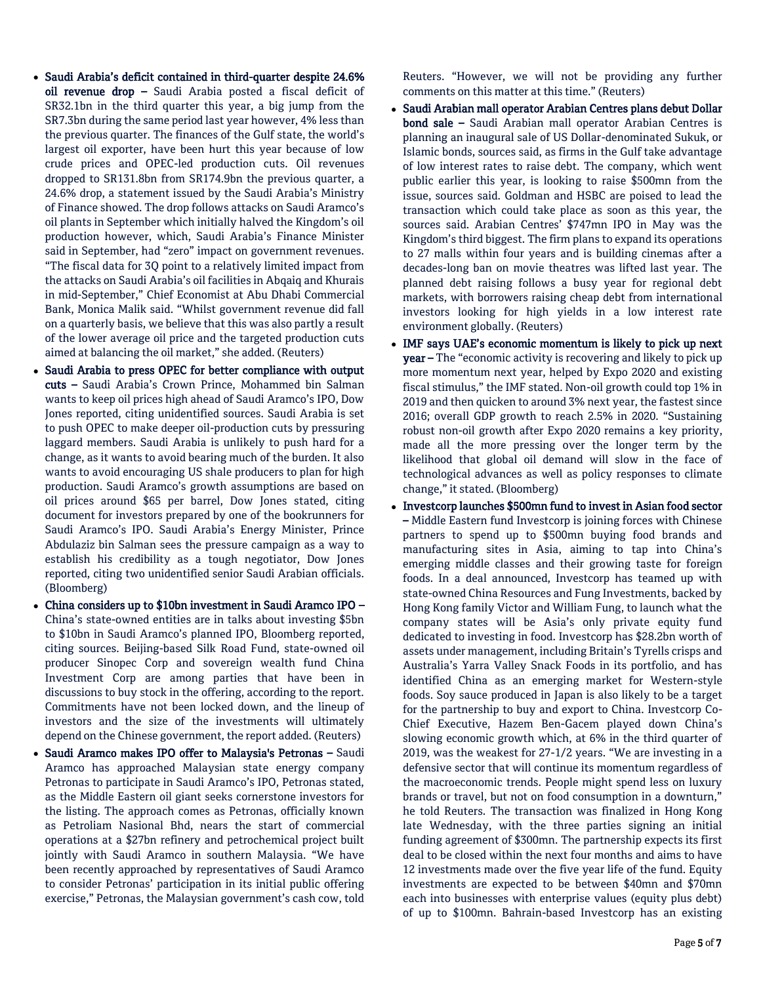- Saudi Arabia's deficit contained in third-quarter despite 24.6% oil revenue drop – Saudi Arabia posted a fiscal deficit of SR32.1bn in the third quarter this year, a big jump from the SR7.3bn during the same period last year however, 4% less than the previous quarter. The finances of the Gulf state, the world's largest oil exporter, have been hurt this year because of low crude prices and OPEC-led production cuts. Oil revenues dropped to SR131.8bn from SR174.9bn the previous quarter, a 24.6% drop, a statement issued by the Saudi Arabia's Ministry of Finance showed. The drop follows attacks on Saudi Aramco's oil plants in September which initially halved the Kingdom's oil production however, which, Saudi Arabia's Finance Minister said in September, had "zero" impact on government revenues. "The fiscal data for 3Q point to a relatively limited impact from the attacks on Saudi Arabia's oil facilities in Abqaiq and Khurais in mid-September," Chief Economist at Abu Dhabi Commercial Bank, Monica Malik said. "Whilst government revenue did fall on a quarterly basis, we believe that this was also partly a result of the lower average oil price and the targeted production cuts aimed at balancing the oil market," she added. (Reuters)
- Saudi Arabia to press OPEC for better compliance with output cuts – Saudi Arabia's Crown Prince, Mohammed bin Salman wants to keep oil prices high ahead of Saudi Aramco's IPO, Dow Jones reported, citing unidentified sources. Saudi Arabia is set to push OPEC to make deeper oil-production cuts by pressuring laggard members. Saudi Arabia is unlikely to push hard for a change, as it wants to avoid bearing much of the burden. It also wants to avoid encouraging US shale producers to plan for high production. Saudi Aramco's growth assumptions are based on oil prices around \$65 per barrel, Dow Jones stated, citing document for investors prepared by one of the bookrunners for Saudi Aramco's IPO. Saudi Arabia's Energy Minister, Prince Abdulaziz bin Salman sees the pressure campaign as a way to establish his credibility as a tough negotiator, Dow Jones reported, citing two unidentified senior Saudi Arabian officials. (Bloomberg)
- China considers up to \$10bn investment in Saudi Aramco IPO China's state-owned entities are in talks about investing \$5bn to \$10bn in Saudi Aramco's planned IPO, Bloomberg reported, citing sources. Beijing-based Silk Road Fund, state-owned oil producer Sinopec Corp and sovereign wealth fund China Investment Corp are among parties that have been in discussions to buy stock in the offering, according to the report. Commitments have not been locked down, and the lineup of investors and the size of the investments will ultimately depend on the Chinese government, the report added. (Reuters)
- Saudi Aramco makes IPO offer to Malaysia's Petronas Saudi Aramco has approached Malaysian state energy company Petronas to participate in Saudi Aramco's IPO, Petronas stated, as the Middle Eastern oil giant seeks cornerstone investors for the listing. The approach comes as Petronas, officially known as Petroliam Nasional Bhd, nears the start of commercial operations at a \$27bn refinery and petrochemical project built jointly with Saudi Aramco in southern Malaysia. "We have been recently approached by representatives of Saudi Aramco to consider Petronas' participation in its initial public offering exercise," Petronas, the Malaysian government's cash cow, told

Reuters. "However, we will not be providing any further comments on this matter at this time." (Reuters)

- Saudi Arabian mall operator Arabian Centres plans debut Dollar bond sale – Saudi Arabian mall operator Arabian Centres is planning an inaugural sale of US Dollar-denominated Sukuk, or Islamic bonds, sources said, as firms in the Gulf take advantage of low interest rates to raise debt. The company, which went public earlier this year, is looking to raise \$500mn from the issue, sources said. Goldman and HSBC are poised to lead the transaction which could take place as soon as this year, the sources said. Arabian Centres' \$747mn IPO in May was the Kingdom's third biggest. The firm plans to expand its operations to 27 malls within four years and is building cinemas after a decades-long ban on movie theatres was lifted last year. The planned debt raising follows a busy year for regional debt markets, with borrowers raising cheap debt from international investors looking for high yields in a low interest rate environment globally. (Reuters)
- IMF says UAE's economic momentum is likely to pick up next year – The "economic activity is recovering and likely to pick up more momentum next year, helped by Expo 2020 and existing fiscal stimulus," the IMF stated. Non-oil growth could top 1% in 2019 and then quicken to around 3% next year, the fastest since 2016; overall GDP growth to reach 2.5% in 2020. "Sustaining robust non-oil growth after Expo 2020 remains a key priority, made all the more pressing over the longer term by the likelihood that global oil demand will slow in the face of technological advances as well as policy responses to climate change," it stated. (Bloomberg)
- Investcorp launches \$500mn fund to invest in Asian food sector – Middle Eastern fund Investcorp is joining forces with Chinese partners to spend up to \$500mn buying food brands and manufacturing sites in Asia, aiming to tap into China's emerging middle classes and their growing taste for foreign foods. In a deal announced, Investcorp has teamed up with state-owned China Resources and Fung Investments, backed by Hong Kong family Victor and William Fung, to launch what the company states will be Asia's only private equity fund dedicated to investing in food. Investcorp has \$28.2bn worth of assets under management, including Britain's Tyrells crisps and Australia's Yarra Valley Snack Foods in its portfolio, and has identified China as an emerging market for Western-style foods. Soy sauce produced in Japan is also likely to be a target for the partnership to buy and export to China. Investcorp Co-Chief Executive, Hazem Ben-Gacem played down China's slowing economic growth which, at 6% in the third quarter of 2019, was the weakest for 27-1/2 years. "We are investing in a defensive sector that will continue its momentum regardless of the macroeconomic trends. People might spend less on luxury brands or travel, but not on food consumption in a downturn," he told Reuters. The transaction was finalized in Hong Kong late Wednesday, with the three parties signing an initial funding agreement of \$300mn. The partnership expects its first deal to be closed within the next four months and aims to have 12 investments made over the five year life of the fund. Equity investments are expected to be between \$40mn and \$70mn each into businesses with enterprise values (equity plus debt) of up to \$100mn. Bahrain-based Investcorp has an existing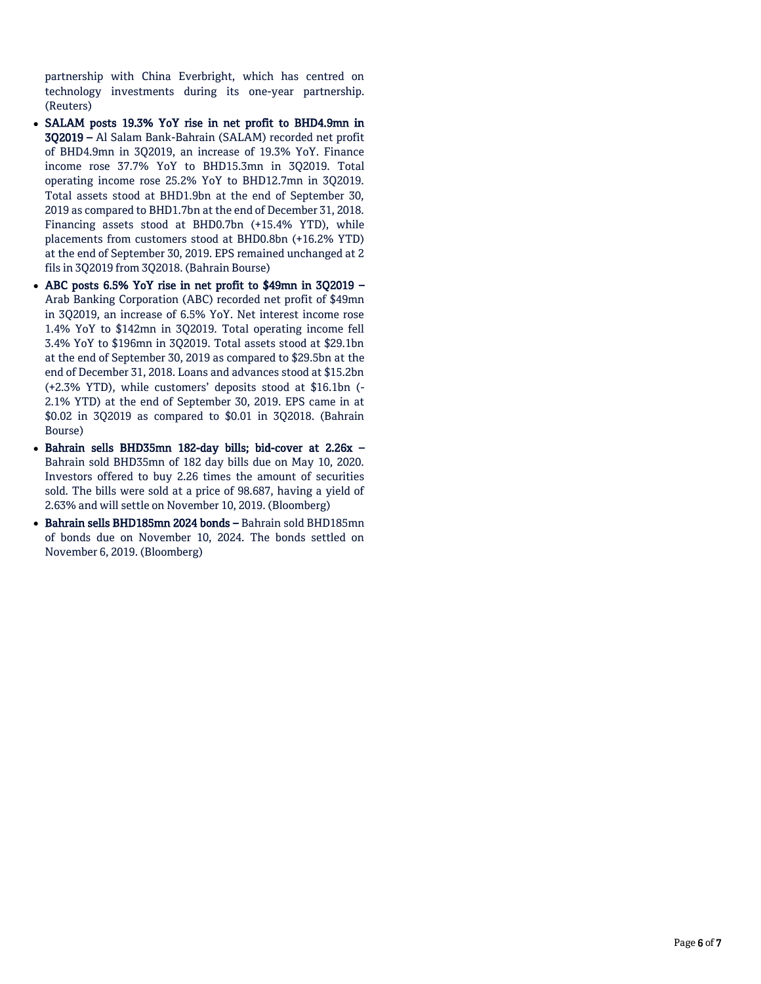partnership with China Everbright, which has centred on technology investments during its one-year partnership. (Reuters)

- SALAM posts 19.3% YoY rise in net profit to BHD4.9mn in 3Q2019 – Al Salam Bank-Bahrain (SALAM) recorded net profit of BHD4.9mn in 3Q2019, an increase of 19.3% YoY. Finance income rose 37.7% YoY to BHD15.3mn in 3Q2019. Total operating income rose 25.2% YoY to BHD12.7mn in 3Q2019. Total assets stood at BHD1.9bn at the end of September 30, 2019 as compared to BHD1.7bn at the end of December 31, 2018. Financing assets stood at BHD0.7bn (+15.4% YTD), while placements from customers stood at BHD0.8bn (+16.2% YTD) at the end of September 30, 2019. EPS remained unchanged at 2 fils in 3Q2019 from 3Q2018. (Bahrain Bourse)
- ABC posts 6.5% YoY rise in net profit to \$49mn in 3Q2019 Arab Banking Corporation (ABC) recorded net profit of \$49mn in 3Q2019, an increase of 6.5% YoY. Net interest income rose 1.4% YoY to \$142mn in 3Q2019. Total operating income fell 3.4% YoY to \$196mn in 3Q2019. Total assets stood at \$29.1bn at the end of September 30, 2019 as compared to \$29.5bn at the end of December 31, 2018. Loans and advances stood at \$15.2bn (+2.3% YTD), while customers' deposits stood at \$16.1bn (- 2.1% YTD) at the end of September 30, 2019. EPS came in at \$0.02 in 3Q2019 as compared to \$0.01 in 3Q2018. (Bahrain Bourse)
- Bahrain sells BHD35mn 182-day bills; bid-cover at 2.26x Bahrain sold BHD35mn of 182 day bills due on May 10, 2020. Investors offered to buy 2.26 times the amount of securities sold. The bills were sold at a price of 98.687, having a yield of 2.63% and will settle on November 10, 2019. (Bloomberg)
- Bahrain sells BHD185mn 2024 bonds Bahrain sold BHD185mn of bonds due on November 10, 2024. The bonds settled on November 6, 2019. (Bloomberg)